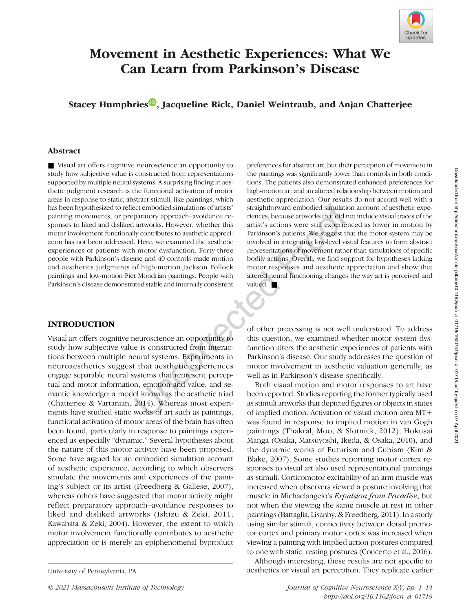

# Movement in Aesthetic Experiences: What We Can Learn from Parkinson's Disease

Stacey Humphries<sup><sup>10</sup>[,](https://orcid.org/0000-0001-9681-660X) Jacqueline Rick, Daniel Weintraub, and Anjan Chatterjee</sup>

# Abstract

■ Visual art offers cognitive neuroscience an opportunity to study how subjective value is constructed from representations supported by multiple neural systems. A surprising finding in aesthetic judgment research is the functional activation of motor areas in response to static, abstract stimuli, like paintings, which has been hypothesized to reflect embodied simulations of artists' painting movements, or preparatory approach–avoidance responses to liked and disliked artworks. However, whether this motor involvement functionally contributes to aesthetic appreciation has not been addressed. Here, we examined the aesthetic experiences of patients with motor dysfunction. Forty-three people with Parkinson's disease and 40 controls made motion and aesthetics judgments of high-motion Jackson Pollock paintings and low-motion Piet Mondrian paintings. People with Parkinson's disease demonstrated stable and internally consistent

# INTRODUCTION

Visual art offers cognitive neuroscience an opportunity to study how subjective value is constructed from interactions between multiple neural systems. Experiments in neuroaesthetics suggest that aesthetic experiences engage separable neural systems that represent perceptual and motor information, emotion and value, and semantic knowledge; a model known as the aesthetic triad (Chatterjee & Vartanian, 2014). Whereas most experiments have studied static works of art such as paintings, functional activation of motor areas of the brain has often been found, particularly in response to paintings experienced as especially "dynamic." Several hypotheses about the nature of this motor activity have been proposed. Some have argued for an embodied simulation account of aesthetic experience, according to which observers simulate the movements and experiences of the painting's subject or its artist (Freedberg & Gallese, 2007), whereas others have suggested that motor activity might reflect preparatory approach–avoidance responses to liked and disliked artworks (Ishizu & Zeki, 2011; Kawabata & Zeki, 2004). However, the extent to which motor involvement functionally contributes to aesthetic appreciation or is merely an epiphenomenal byproduct preferences for abstract art, but their perception of movement in the paintings was significantly lower than controls in both conditions. The patients also demonstrated enhanced preferences for high-motion art and an altered relationship between motion and aesthetic appreciation. Our results do not accord well with a straightforward embodied simulation account of aesthetic experiences, because artworks that did not include visual traces of the artist's actions were still experienced as lower in motion by Parkinson's patients. We suggest that the motor system may be involved in integrating low-level visual features to form abstract representations of movement rather than simulations of specific bodily actions. Overall, we find support for hypotheses linking motor responses and aesthetic appreciation and show that altered neural functioning changes the way art is perceived and valued. ■

of other processing is not well understood. To address this question, we examined whether motor system dysfunction alters the aesthetic experiences of patients with Parkinson's disease. Our study addresses the question of motor involvement in aesthetic valuation generally, as well as in Parkinson's disease specifically.

Both visual motion and motor responses to art have been reported. Studies reporting the former typically used as stimuli artworks that depicted figures or objects in states of implied motion. Activation of visual motion area MT+ was found in response to implied motion in van Gogh paintings (Thakral, Moo, & Slotnick, 2012), Hokusai Manga (Osaka, Matsuyoshi, Ikeda, & Osaka, 2010), and the dynamic works of Futurism and Cubism (Kim & Blake, 2007). Some studies reporting motor cortex responses to visual art also used representational paintings as stimuli. Corticomotor excitability of an arm muscle was increased when observers viewed a posture involving that muscle in Michaelangelo's Expulsion from Paradise, but not when the viewing the same muscle at rest in other paintings (Battaglia, Lisanby, & Freedberg, 2011). In a study using similar stimuli, connectivity between dorsal premotor cortex and primary motor cortex was increased when viewing a painting with implied action postures compared to one with static, resting postures (Concerto et al., 2016).

Although interesting, these results are not specific to University of Pennsylvania, PA and acsociated article of visual art perception. They replicate earlier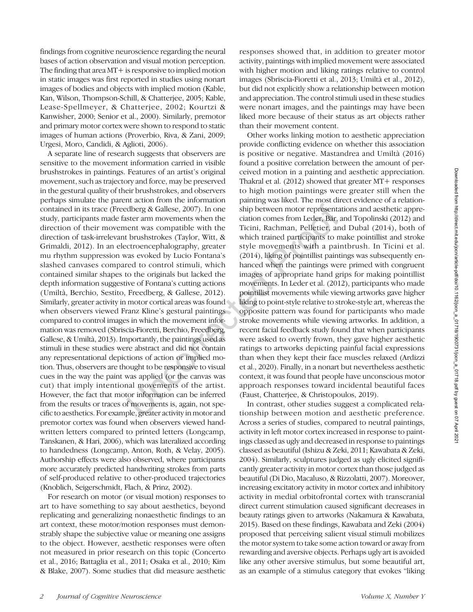findings from cognitive neuroscience regarding the neural bases of action observation and visual motion perception. The finding that area MT + is responsive to implied motion in static images was first reported in studies using nonart images of bodies and objects with implied motion (Kable, Kan, Wilson, Thompson-Schill, & Chatterjee, 2005; Kable, Lease-Spellmeyer, & Chatterjee, 2002; Kourtzi & Kanwisher, 2000; Senior et al., 2000). Similarly, premotor and primary motor cortex were shown to respond to static images of human actions (Proverbio, Riva, & Zani, 2009; Urgesi, Moro, Candidi, & Aglioti, 2006).

A separate line of research suggests that observers are sensitive to the movement information carried in visible brushstrokes in paintings. Features of an artist's original movement, such as trajectory and force, may be preserved in the gestural quality of their brushstrokes, and observers perhaps simulate the parent action from the information contained in its trace (Freedberg & Gallese, 2007). In one study, participants made faster arm movements when the direction of their movement was compatible with the direction of task-irrelevant brushstrokes (Taylor, Witt, & Grimaldi, 2012). In an electroencephalography, greater mu rhythm suppression was evoked by Lucio Fontana's slashed canvases compared to control stimuli, which contained similar shapes to the originals but lacked the depth information suggestive of Fontana's cutting actions (Umiltà, Berchio, Sestito, Freedberg, & Gallese, 2012). Similarly, greater activity in motor cortical areas was found when observers viewed Franz Kline's gestural paintings compared to control images in which the movement information was removed (Sbriscia-Fioretti, Berchio, Freedberg, Gallese, & Umiltà, 2013). Importantly, the paintings used as stimuli in these studies were abstract and did not contain any representational depictions of action or implied motion. Thus, observers are thought to be responsive to visual cues in the way the paint was applied (or the canvas was cut) that imply intentional movements of the artist. However, the fact that motor information can be inferred from the results or traces of movements is, again, not specific to aesthetics. For example, greater activity in motor and premotor cortex was found when observers viewed handwritten letters compared to printed letters (Longcamp, Tanskanen, & Hari, 2006), which was lateralized according to handedness (Longcamp, Anton, Roth, & Velay, 2005). Authorship effects were also observed, where participants more accurately predicted handwriting strokes from parts of self-produced relative to other-produced trajectories (Knoblich, Seigerschmidt, Flach, & Prinz, 2002).

For research on motor (or visual motion) responses to art to have something to say about aesthetics, beyond replicating and generalizing nonaesthetic findings to an art context, these motor/motion responses must demonstrably shape the subjective value or meaning one assigns to the object. However, aesthetic responses were often not measured in prior research on this topic (Concerto et al., 2016; Battaglia et al., 2011; Osaka et al., 2010; Kim & Blake, 2007). Some studies that did measure aesthetic responses showed that, in addition to greater motor activity, paintings with implied movement were associated with higher motion and liking ratings relative to control images (Sbriscia-Fioretti et al., 2013; Umiltà et al., 2012), but did not explicitly show a relationship between motion and appreciation. The control stimuli used in these studies were nonart images, and the paintings may have been liked more because of their status as art objects rather than their movement content.

Other works linking motion to aesthetic appreciation provide conflicting evidence on whether this association is positive or negative. Mastandrea and Umiltà (2016) found a positive correlation between the amount of perceived motion in a painting and aesthetic appreciation. Thakral et al. (2012) showed that greater MT+ responses to high motion paintings were greater still when the painting was liked. The most direct evidence of a relationship between motor representations and aesthetic appreciation comes from Leder, Bär, and Topolinski (2012) and Ticini, Rachman, Pelletier, and Dubal (2014), both of which trained participants to make pointillist and stroke style movements with a paintbrush. In Ticini et al. (2014), liking of pointillist paintings was subsequently enhanced when the paintings were primed with congruent images of appropriate hand grips for making pointillist movements. In Leder et al. (2012), participants who made pointillist movements while viewing artworks gave higher liking to point-style relative to stroke-style art, whereas the opposite pattern was found for participants who made stroke movements while viewing artworks. In addition, a recent facial feedback study found that when participants were asked to overtly frown, they gave higher aesthetic ratings to artworks depicting painful facial expressions than when they kept their face muscles relaxed (Ardizzi et al., 2020). Finally, in a nonart but nevertheless aesthetic context, it was found that people have unconscious motor approach responses toward incidental beautiful faces (Faust, Chatterjee, & Christopoulos, 2019).

In contrast, other studies suggest a complicated relationship between motion and aesthetic preference. Across a series of studies, compared to neutral paintings, activity in left motor cortex increased in response to paintings classed as ugly and decreased in response to paintings classed as beautiful (Ishizu & Zeki, 2011; Kawabata & Zeki, 2004). Similarly, sculptures judged as ugly elicited significantly greater activity in motor cortex than those judged as beautiful (Di Dio, Macaluso, & Rizzolatti, 2007). Moreover, increasing excitatory activity in motor cortex and inhibitory activity in medial orbitofrontal cortex with transcranial direct current stimulation caused significant decreases in beauty ratings given to artworks (Nakamura & Kawabata, 2015). Based on these findings, Kawabata and Zeki (2004) proposed that perceiving salient visual stimuli mobilizes the motor system to take some action toward or away from rewarding and aversive objects. Perhaps ugly art is avoided like any other aversive stimulus, but some beautiful art, as an example of a stimulus category that evokes "liking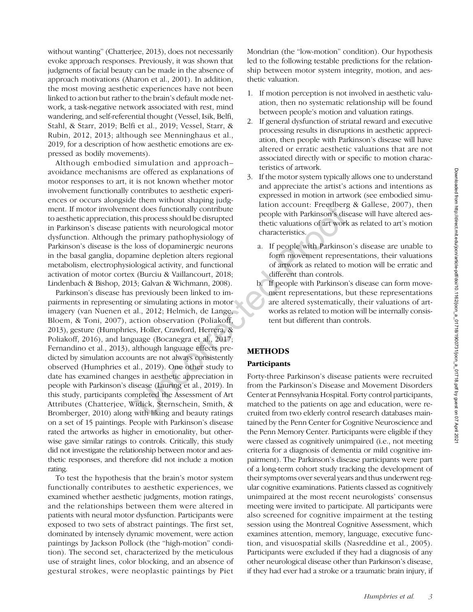without wanting" (Chatterjee, 2013), does not necessarily evoke approach responses. Previously, it was shown that judgments of facial beauty can be made in the absence of approach motivations (Aharon et al., 2001). In addition, the most moving aesthetic experiences have not been linked to action but rather to the brain's default mode network, a task-negative network associated with rest, mind wandering, and self-referential thought (Vessel, Isik, Belfi, Stahl, & Starr, 2019; Belfi et al., 2019; Vessel, Starr, & Rubin, 2012, 2013; although see Menninghaus et al., 2019, for a description of how aesthetic emotions are expressed as bodily movements).

Although embodied simulation and approach– avoidance mechanisms are offered as explanations of motor responses to art, it is not known whether motor involvement functionally contributes to aesthetic experiences or occurs alongside them without shaping judgment. If motor involvement does functionally contribute to aesthetic appreciation, this process should be disrupted in Parkinson's disease patients with neurological motor dysfunction. Although the primary pathophysiology of Parkinson's disease is the loss of dopaminergic neurons in the basal ganglia, dopamine depletion alters regional metabolism, electrophysiological activity, and functional activation of motor cortex (Burciu & Vaillancourt, 2018; Lindenbach & Bishop, 2013; Galvan & Wichmann, 2008).

Parkinson's disease has previously been linked to impairments in representing or simulating actions in motor imagery (van Nuenen et al., 2012; Helmich, de Lange, Bloem, & Toni, 2007), action observation (Poliakoff, 2013), gesture (Humphries, Holler, Crawford, Herrera, & Poliakoff, 2016), and language (Bocanegra et al., 2017; Fernandino et al., 2013), although language effects predicted by simulation accounts are not always consistently observed (Humphries et al., 2019). One other study to date has examined changes in aesthetic appreciation in people with Parkinson's disease (Lauring et al., 2019). In this study, participants completed the Assessment of Art Attributes (Chatterjee, Widick, Sternschein, Smith, & Bromberger, 2010) along with liking and beauty ratings on a set of 15 paintings. People with Parkinson's disease rated the artworks as higher in emotionality, but otherwise gave similar ratings to controls. Critically, this study did not investigate the relationship between motor and aesthetic responses, and therefore did not include a motion rating.

To test the hypothesis that the brain's motor system functionally contributes to aesthetic experiences, we examined whether aesthetic judgments, motion ratings, and the relationships between them were altered in patients with neural motor dysfunction. Participants were exposed to two sets of abstract paintings. The first set, dominated by intensely dynamic movement, were action paintings by Jackson Pollock (the "high-motion" condition). The second set, characterized by the meticulous use of straight lines, color blocking, and an absence of gestural strokes, were neoplastic paintings by Piet Mondrian (the "low-motion" condition). Our hypothesis led to the following testable predictions for the relationship between motor system integrity, motion, and aesthetic valuation.

- 1. If motion perception is not involved in aesthetic valuation, then no systematic relationship will be found between people's motion and valuation ratings.
- 2. If general dysfunction of striatal reward and executive processing results in disruptions in aesthetic appreciation, then people with Parkinson's disease will have altered or erratic aesthetic valuations that are not associated directly with or specific to motion characteristics of artwork.
- 3. If the motor system typically allows one to understand and appreciate the artist's actions and intentions as expressed in motion in artwork (see embodied simulation account: Freedberg & Gallese, 2007), then people with Parkinson's disease will have altered aesthetic valuations of art work as related to art's motion characteristics.
	- a. If people with Parkinson's disease are unable to form movement representations, their valuations of artwork as related to motion will be erratic and different than controls.
	- b. If people with Parkinson's disease can form movement representations, but these representations are altered systematically, their valuations of artworks as related to motion will be internally consistent but different than controls.

# METHODS

# Participants

Forty-three Parkinson's disease patients were recruited from the Parkinson's Disease and Movement Disorders Center at Pennsylvania Hospital. Forty control participants, matched to the patients on age and education, were recruited from two elderly control research databases maintained by the Penn Center for Cognitive Neuroscience and the Penn Memory Center. Participants were eligible if they were classed as cognitively unimpaired (i.e., not meeting criteria for a diagnosis of dementia or mild cognitive impairment). The Parkinson's disease participants were part of a long-term cohort study tracking the development of their symptoms over several years and thus underwent regular cognitive examinations. Patients classed as cognitively unimpaired at the most recent neurologists' consensus meeting were invited to participate. All participants were also screened for cognitive impairment at the testing session using the Montreal Cognitive Assessment, which examines attention, memory, language, executive function, and visuospatial skills (Nasreddine et al., 2005). Participants were excluded if they had a diagnosis of any other neurological disease other than Parkinson's disease, if they had ever had a stroke or a traumatic brain injury, if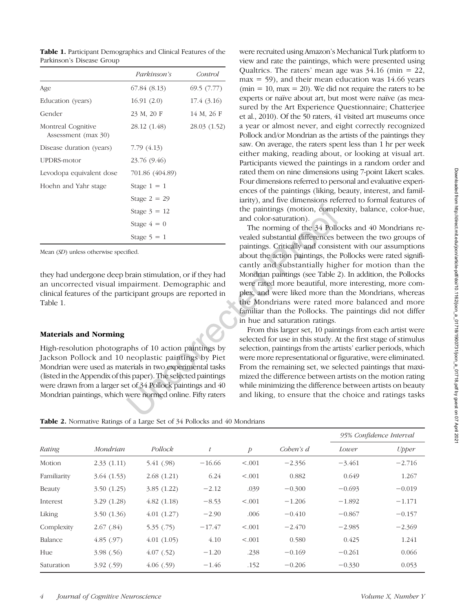Table 1. Participant Demographics and Clinical Features of the Parkinson's Disease Group

|                                           | <i>Parkinson's</i> | Control      |
|-------------------------------------------|--------------------|--------------|
| Age                                       | 67.84 (8.13)       | 69.5(7.77)   |
| Education (years)                         | 16.91(2.0)         | 17.4 (3.16)  |
| Gender                                    | 23 M, 20 F         | 14 M, 26 F   |
| Montreal Cognitive<br>Assessment (max 30) | 28.12 (1.48)       | 28.03 (1.52) |
| Disease duration (years)                  | 7.79 (4.13)        |              |
| UPDRS-motor                               | 23.76 (9.46)       |              |
| Levodopa equivalent dose                  | 701.86 (404.89)    |              |
| Hoehn and Yahr stage                      | Stage $1 = 1$      |              |
|                                           | Stage $2 = 29$     |              |
|                                           | Stage $3 = 12$     |              |
|                                           | Stage $4 = 0$      |              |
|                                           | Stage $5 = 1$      |              |

Mean (SD) unless otherwise specified.

they had undergone deep brain stimulation, or if they had an uncorrected visual impairment. Demographic and clinical features of the participant groups are reported in Table 1.

### Materials and Norming

High-resolution photographs of 10 action paintings by Jackson Pollock and 10 neoplastic paintings by Piet Mondrian were used as materials in two experimental tasks (listed in the Appendix of this paper). The selected paintings were drawn from a larger set of 34 Pollock paintings and 40 Mondrian paintings, which were normed online. Fifty raters

were recruited using Amazon's Mechanical Turk platform to view and rate the paintings, which were presented using Qualtrics. The raters' mean age was  $34.16$  (min = 22,  $max = 59$ , and their mean education was 14.66 years  $(\text{min} = 10, \text{max} = 20)$ . We did not require the raters to be experts or naïve about art, but most were naïve (as measured by the Art Experience Questionnaire; Chatterjee et al., 2010). Of the 50 raters, 41 visited art museums once a year or almost never, and eight correctly recognized Pollock and/or Mondrian as the artists of the paintings they saw. On average, the raters spent less than 1 hr per week either making, reading about, or looking at visual art. Participants viewed the paintings in a random order and rated them on nine dimensions using 7-point Likert scales. Four dimensions referred to personal and evaluative experiences of the paintings (liking, beauty, interest, and familiarity), and five dimensions referred to formal features of the paintings (motion, complexity, balance, color-hue, and color-saturation).

The norming of the 34 Pollocks and 40 Mondrians revealed substantial differences between the two groups of paintings. Critically and consistent with our assumptions about the action paintings, the Pollocks were rated significantly and substantially higher for motion than the Mondrian paintings (see Table 2). In addition, the Pollocks were rated more beautiful, more interesting, more complex, and were liked more than the Mondrians, whereas the Mondrians were rated more balanced and more familiar than the Pollocks. The paintings did not differ in hue and saturation ratings.

From this larger set, 10 paintings from each artist were selected for use in this study. At the first stage of stimulus selection, paintings from the artists' earlier periods, which were more representational or figurative, were eliminated. From the remaining set, we selected paintings that maximized the difference between artists on the motion rating while minimizing the difference between artists on beauty and liking, to ensure that the choice and ratings tasks

Table 2. Normative Ratings of a Large Set of 34 Pollocks and 40 Mondrians

|             |            |            |           |                |           | 95% Confidence Interval |              |
|-------------|------------|------------|-----------|----------------|-----------|-------------------------|--------------|
| Rating      | Mondrian   | Pollock    | $\bar{t}$ | $\overline{p}$ | Coben's d | Lower                   | <i>Upper</i> |
| Motion      | 2.33(1.11) | 5.41 (.98) | $-16.66$  | < .001         | $-2.356$  | $-3.461$                | $-2.716$     |
| Familiarity | 3.64(1.53) | 2.68(1.21) | 6.24      | < .001         | 0.882     | 0.649                   | 1.267        |
| Beauty      | 3.50(1.25) | 3.85(1.22) | $-2.12$   | .039           | $-0.300$  | $-0.693$                | $-0.019$     |
| Interest    | 3.29(1.28) | 4.82(1.18) | $-8.53$   | < .001         | $-1.206$  | $-1.892$                | $-1.171$     |
| Liking      | 3.50(1.36) | 4.01(1.27) | $-2.90$   | .006           | $-0.410$  | $-0.867$                | $-0.157$     |
| Complexity  | 2.67(.84)  | 5.35(.75)  | $-17.47$  | < .001         | $-2.470$  | $-2.985$                | $-2.369$     |
| Balance     | 4.85(.97)  | 4.01(1.05) | 4.10      | < .001         | 0.580     | 0.425                   | 1.241        |
| Hue         | 3.98(.56)  | 4.07(0.52) | $-1.20$   | .238           | $-0.169$  | $-0.261$                | 0.066        |
| Saturation  | 3.92(59)   | 4.06(.59)  | $-1.46$   | .152           | $-0.206$  | $-0.330$                | 0.053        |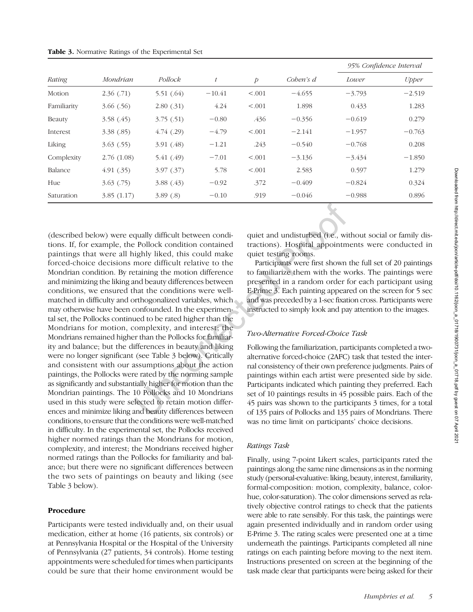| Rating      | Mondrian   | Pollock    |          | $\overline{p}$ | Coben's d | 95% Confidence Interval |              |
|-------------|------------|------------|----------|----------------|-----------|-------------------------|--------------|
|             |            |            |          |                |           | Lower                   | <b>Upper</b> |
| Motion      | 2.36(.71)  | 5.51(.64)  | $-10.41$ | < 0.001        | $-4.655$  | $-3.793$                | $-2.519$     |
| Familiarity | 3.66(0.56) | 2.80(0.31) | 4.24     | < 0.001        | 1.898     | 0.433                   | 1.283        |
| Beauty      | 3.58(.45)  | 3.75(.51)  | $-0.80$  | .436           | $-0.356$  | $-0.619$                | 0.279        |
| Interest    | 3.38(.85)  | 4.74(0.29) | $-4.79$  | < 0.001        | $-2.141$  | $-1.957$                | $-0.763$     |
| Liking      | 3.63(.55)  | 3.91(.48)  | $-1.21$  | .243           | $-0.540$  | $-0.768$                | 0.208        |
| Complexity  | 2.76(1.08) | 5.41(49)   | $-7.01$  | < 0.001        | $-3.136$  | $-3.434$                | $-1.850$     |
| Balance     | 4.91(0.35) | 3.97(0.37) | 5.78     | < .001         | 2.583     | 0.597                   | 1.279        |
| Hue         | 3.63(0.75) | 3.88(.43)  | $-0.92$  | .372           | $-0.409$  | $-0.824$                | 0.324        |
| Saturation  | 3.85(1.17) | 3.89(.8)   | $-0.10$  | .919           | $-0.046$  | $-0.988$                | 0.896        |

(described below) were equally difficult between conditions. If, for example, the Pollock condition contained paintings that were all highly liked, this could make forced-choice decisions more difficult relative to the Mondrian condition. By retaining the motion difference and minimizing the liking and beauty differences between conditions, we ensured that the conditions were wellmatched in difficulty and orthogonalized variables, which may otherwise have been confounded. In the experimental set, the Pollocks continued to be rated higher than the Mondrians for motion, complexity, and interest; the Mondrians remained higher than the Pollocks for familiarity and balance; but the differences in beauty and liking were no longer significant (see Table 3 below). Critically and consistent with our assumptions about the action paintings, the Pollocks were rated by the norming sample as significantly and substantially higher for motion than the Mondrian paintings. The 10 Pollocks and 10 Mondrians used in this study were selected to retain motion differences and minimize liking and beauty differences between conditions, to ensure that the conditions were well-matched in difficulty. In the experimental set, the Pollocks received higher normed ratings than the Mondrians for motion, complexity, and interest; the Mondrians received higher normed ratings than the Pollocks for familiarity and balance; but there were no significant differences between the two sets of paintings on beauty and liking (see Table 3 below).

# Procedure

Participants were tested individually and, on their usual medication, either at home (16 patients, six controls) or at Pennsylvania Hospital or the Hospital of the University of Pennsylvania (27 patients, 34 controls). Home testing appointments were scheduled for times when participants could be sure that their home environment would be

quiet and undisturbed (i.e., without social or family distractions). Hospital appointments were conducted in quiet testing rooms.

Participants were first shown the full set of 20 paintings to familiarize them with the works. The paintings were presented in a random order for each participant using E-Prime 3. Each painting appeared on the screen for 5 sec and was preceded by a 1-sec fixation cross. Participants were instructed to simply look and pay attention to the images.

### Two-Alternative Forced-Choice Task

Following the familiarization, participants completed a twoalternative forced-choice (2AFC) task that tested the internal consistency of their own preference judgments. Pairs of paintings within each artist were presented side by side. Participants indicated which painting they preferred. Each set of 10 paintings results in 45 possible pairs. Each of the 45 pairs was shown to the participants 3 times, for a total of 135 pairs of Pollocks and 135 pairs of Mondrians. There was no time limit on participants' choice decisions.

### Ratings Task

Finally, using 7-point Likert scales, participants rated the paintings along the same nine dimensions as in the norming study (personal-evaluative: liking, beauty, interest, familiarity, formal-composition: motion, complexity, balance, colorhue, color-saturation). The color dimensions served as relatively objective control ratings to check that the patients were able to rate sensibly. For this task, the paintings were again presented individually and in random order using E-Prime 3. The rating scales were presented one at a time underneath the paintings. Participants completed all nine ratings on each painting before moving to the next item. Instructions presented on screen at the beginning of the task made clear that participants were being asked for their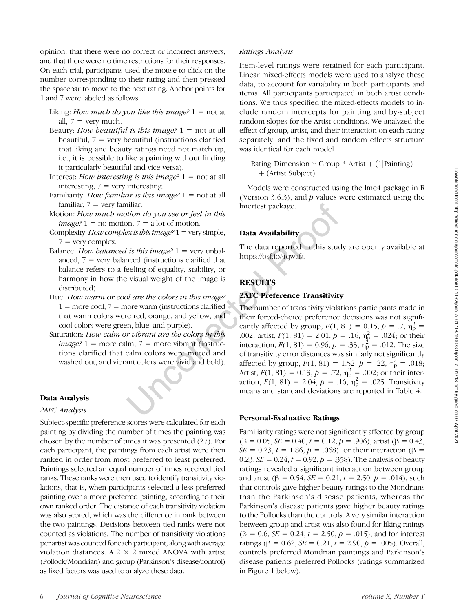opinion, that there were no correct or incorrect answers, and that there were no time restrictions for their responses. On each trial, participants used the mouse to click on the number corresponding to their rating and then pressed the spacebar to move to the next rating. Anchor points for 1 and 7 were labeled as follows:

Liking: How much do you like this image?  $1 = not$  at all,  $7 =$  very much.

- Beauty: How beautiful is this image?  $1 = \text{not at all}$ beautiful,  $7 =$  very beautiful (instructions clarified that liking and beauty ratings need not match up, i.e., it is possible to like a painting without finding it particularly beautiful and vice versa).
- Interest: How interesting is this image?  $1 = not$  at all interesting,  $7 = \text{very interesting}$ .
- Familiarity: How familiar is this image?  $1 = \text{not at all}$ familiar,  $7 = \text{very familiar}$ .
- Motion: How much motion do you see or feel in this *image?*  $1 =$  no motion,  $7 =$  a lot of motion.
- Complexity: How complex is this image?  $1 =$  very simple,  $7 =$  very complex.
- Balance: How balanced is this image?  $1 = \text{very unbal}$ anced,  $7$  = very balanced (instructions clarified that balance refers to a feeling of equality, stability, or harmony in how the visual weight of the image is distributed).
- Hue: How warm or cool are the colors in this image?  $1 =$  more cool,  $7 =$  more warm (instructions clarified that warm colors were red, orange, and yellow, and cool colors were green, blue, and purple).
- Saturation: How calm or vibrant are the colors in this  $image? 1 = more calm, 7 = more vibrant (instruc$ tions clarified that calm colors were muted and washed out, and vibrant colors were vivid and bold).

#### Data Analysis

#### 2AFC Analysis

Subject-specific preference scores were calculated for each painting by dividing the number of times the painting was chosen by the number of times it was presented (27). For each participant, the paintings from each artist were then ranked in order from most preferred to least preferred. Paintings selected an equal number of times received tied ranks. These ranks were then used to identify transitivity violations, that is, when participants selected a less preferred painting over a more preferred painting, according to their own ranked order. The distance of each transitivity violation was also scored, which was the difference in rank between the two paintings. Decisions between tied ranks were not counted as violations. The number of transitivity violations per artist was counted for each participant, along with average violation distances. A 2  $\times$  2 mixed ANOVA with artist (Pollock/Mondrian) and group (Parkinson's disease/control) as fixed factors was used to analyze these data.

### Ratings Analysis

Item-level ratings were retained for each participant. Linear mixed-effects models were used to analyze these data, to account for variability in both participants and items. All participants participated in both artist conditions. We thus specified the mixed-effects models to include random intercepts for painting and by-subject random slopes for the Artist conditions. We analyzed the effect of group, artist, and their interaction on each rating separately, and the fixed and random effects structure was identical for each model:

Rating Dimension ∼ Group \* Artist +  $(1|P<sub>2</sub>$ inting)  $+$  (Artist Subject)

Models were constructed using the lme4 package in R (Version 3.6.3), and  $p$  values were estimated using the lmertest package.

# Data Availability

The data reported in this study are openly available at <https://osf.io/4qwaf/>.

## **RESULTS**

#### 2AFC Preference Transitivity

The number of transitivity violations participants made in their forced-choice preference decisions was not significantly affected by group,  $F(1, 81) = 0.15$ ,  $p = .7$ ,  $\bar{n}_p^2 =$ .002; artist,  $F(1, 81) = 2.01$ ,  $p = .16$ ,  $\eta_p^2 = .024$ ; or their interaction,  $F(1, 81) = 0.96$ ,  $p = .33$ ,  $\eta_{p}^{2} = .012$ . The size of transitivity error distances was similarly not significantly affected by group,  $F(1, 81) = 1.52$ ,  $p = .22$ ,  $\overline{\eta}_p^2 = .018$ ; Artist,  $F(1, 81) = 0.13$ ,  $p = .72$ ,  $\eta_p^2 = .002$ ; or their interaction,  $F(1, 81) = 2.04$ ,  $p = .16$ ,  $\eta_p^2 = .025$ . Transitivity means and standard deviations are reported in Table 4.

#### Personal-Evaluative Ratings

Familiarity ratings were not significantly affected by group  $(\beta = 0.05, \mathcal{S}E = 0.40, t = 0.12, p = .906)$ , artist ( $\beta = 0.43$ , SE = 0.23, t = 1.86, p = .068), or their interaction (β = 0.23,  $SE = 0.24$ ,  $t = 0.92$ ,  $p = 0.358$ . The analysis of beauty ratings revealed a significant interaction between group and artist ( $\beta = 0.54$ ,  $SE = 0.21$ ,  $t = 2.50$ ,  $p = .014$ ), such that controls gave higher beauty ratings to the Mondrians than the Parkinson's disease patients, whereas the Parkinson's disease patients gave higher beauty ratings to the Pollocks than the controls. A very similar interaction between group and artist was also found for liking ratings  $(\beta = 0.6, \mathcal{S}E = 0.24, t = 2.50, p = .015)$ , and for interest ratings (β = 0.62, *SE* = 0.21, *t* = 2.90, *p* = .005). Overall, controls preferred Mondrian paintings and Parkinson's disease patients preferred Pollocks (ratings summarized in Figure 1 below).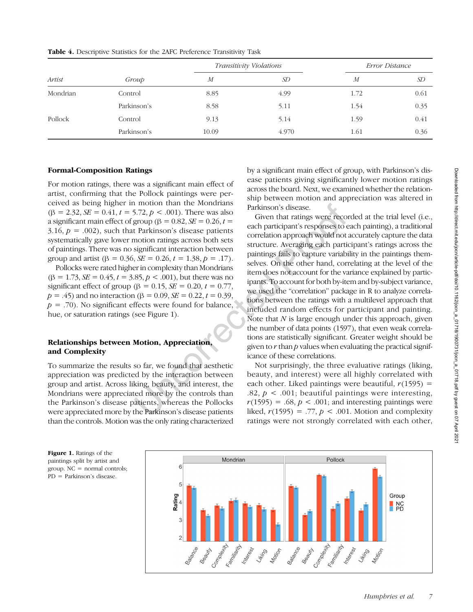|          | Group       |                  | Transitivity Violations | Error Distance   |      |
|----------|-------------|------------------|-------------------------|------------------|------|
| Artist   |             | $\boldsymbol{M}$ | SD                      | $\boldsymbol{M}$ | SD   |
| Mondrian | Control     | 8.85             | 4.99                    | 1.72             | 0.61 |
|          | Parkinson's | 8.58             | 5.11                    | 1.54             | 0.35 |
| Pollock  | Control     | 9.13             | 5.14                    | 1.59             | 0.41 |
|          | Parkinson's | 10.09            | 4.970                   | 1.61             | 0.36 |

Table 4. Descriptive Statistics for the 2AFC Preference Transitivity Task

### Formal-Composition Ratings

For motion ratings, there was a significant main effect of artist, confirming that the Pollock paintings were perceived as being higher in motion than the Mondrians  $(\beta = 2.32, \mathcal{S}E = 0.41, t = 5.72, p < .001)$ . There was also a significant main effect of group ( $\beta = 0.82$ ,  $SE = 0.26$ ,  $t =$ 3.16,  $p = .002$ ), such that Parkinson's disease patients systematically gave lower motion ratings across both sets of paintings. There was no significant interaction between group and artist ( $\beta = 0.36$ ,  $SE = 0.26$ ,  $t = 1.38$ ,  $p = .17$ ).

Pollocks were rated higher in complexity than Mondrians  $(\beta = 1.73, \text{S}E = 0.45, t = 3.85, p < .001)$ , but there was no significant effect of group ( $\beta = 0.15$ ,  $SE = 0.20$ ,  $t = 0.77$ ,  $p = .45$ ) and no interaction (β = 0.09, *SE* = 0.22,  $t = 0.39$ ,  $p = .70$ ). No significant effects were found for balance, hue, or saturation ratings (see Figure 1).

# Relationships between Motion, Appreciation, and Complexity

To summarize the results so far, we found that aesthetic appreciation was predicted by the interaction between group and artist. Across liking, beauty, and interest, the Mondrians were appreciated more by the controls than the Parkinson's disease patients, whereas the Pollocks were appreciated more by the Parkinson's disease patients than the controls. Motion was the only rating characterized

by a significant main effect of group, with Parkinson's disease patients giving significantly lower motion ratings across the board. Next, we examined whether the relationship between motion and appreciation was altered in Parkinson's disease.

Given that ratings were recorded at the trial level (i.e., each participant's responses to each painting), a traditional correlation approach would not accurately capture the data structure. Averaging each participant's ratings across the paintings fails to capture variability in the paintings themselves. On the other hand, correlating at the level of the item does not account for the variance explained by participants. To account for both by-item and by-subject variance, we used the "correlation" package in R to analyze correlations between the ratings with a multilevel approach that included random effects for participant and painting. Note that  $N$  is large enough under this approach, given the number of data points (1597), that even weak correlations are statistically significant. Greater weight should be given to  $r$  than  $p$  values when evaluating the practical significance of these correlations.

Not surprisingly, the three evaluative ratings (liking, beauty, and interest) were all highly correlated with each other. Liked paintings were beautiful,  $r(1595)$  = .82,  $p < .001$ ; beautiful paintings were interesting,  $r(1595) = .68$ ,  $p < .001$ ; and interesting paintings were liked,  $r(1595) = .77$ ,  $p < .001$ . Motion and complexity ratings were not strongly correlated with each other,



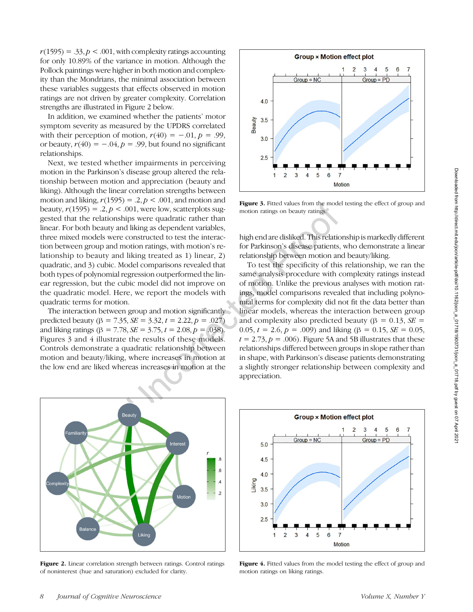$r(1595) = .33, p < .001$ , with complexity ratings accounting for only 10.89% of the variance in motion. Although the Pollock paintings were higher in both motion and complexity than the Mondrians, the minimal association between these variables suggests that effects observed in motion ratings are not driven by greater complexity. Correlation strengths are illustrated in Figure 2 below.

In addition, we examined whether the patients' motor symptom severity as measured by the UPDRS correlated with their perception of motion,  $r(40) = -.01$ ,  $p = .99$ , or beauty,  $r(40) = -.04$ ,  $p = .99$ , but found no significant relationships.

Next, we tested whether impairments in perceiving motion in the Parkinson's disease group altered the relationship between motion and appreciation (beauty and liking). Although the linear correlation strengths between motion and liking,  $r(1595) = .2, p < .001$ , and motion and beauty,  $r(1595) = .2, p < .001$ , were low, scatterplots suggested that the relationships were quadratic rather than linear. For both beauty and liking as dependent variables, three mixed models were constructed to test the interaction between group and motion ratings, with motion's relationship to beauty and liking treated as 1) linear, 2) quadratic, and 3) cubic. Model comparisons revealed that both types of polynomial regression outperformed the linear regression, but the cubic model did not improve on the quadratic model. Here, we report the models with quadratic terms for motion.

The interaction between group and motion significantly predicted beauty ( $\beta = 7.35$ ,  $SE = 3.32$ ,  $t = 2.22$ ,  $p = .027$ ) and liking ratings ( $\beta = 7.78$ ,  $SE = 3.75$ ,  $t = 2.08$ ,  $p = .038$ ). Figures 3 and 4 illustrate the results of these models. Controls demonstrate a quadratic relationship between motion and beauty/liking, where increases in motion at the low end are liked whereas increases in motion at the



Figure 3. Fitted values from the model testing the effect of group and motion ratings on beauty ratings.

high end are disliked. This relationship is markedly different for Parkinson's disease patients, who demonstrate a linear relationship between motion and beauty/liking.

To test the specificity of this relationship, we ran the same analysis procedure with complexity ratings instead of motion. Unlike the previous analyses with motion ratings, model comparisons revealed that including polynomial terms for complexity did not fit the data better than linear models, whereas the interaction between group and complexity also predicted beauty ( $\beta = 0.13$ ,  $SE =$ 0.05,  $t = 2.6$ ,  $p = .009$ ) and liking ( $\beta = 0.15$ ,  $SE = 0.05$ ,  $t = 2.73$ ,  $p = .006$ ). Figure 5A and 5B illustrates that these relationships differed between groups in slope rather than in shape, with Parkinson's disease patients demonstrating a slightly stronger relationship between complexity and appreciation.



Figure 2. Linear correlation strength between ratings. Control ratings of noninterest (hue and saturation) excluded for clarity.



Figure 4. Fitted values from the model testing the effect of group and motion ratings on liking ratings.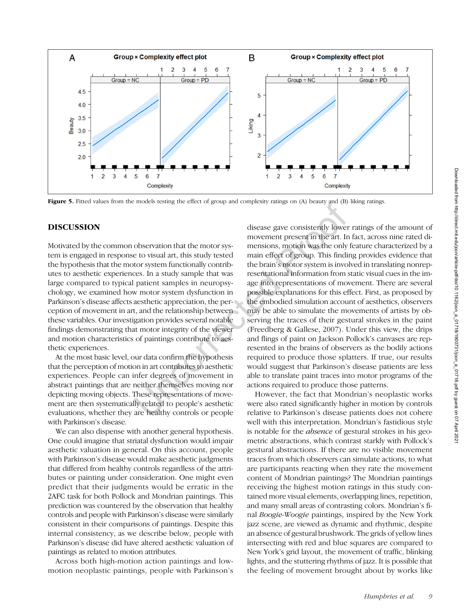

Figure 5. Fitted values from the models testing the effect of group and complexity ratings on (A) beauty and (B) liking ratings.

# DISCUSSION

Motivated by the common observation that the motor system is engaged in response to visual art, this study tested the hypothesis that the motor system functionally contributes to aesthetic experiences. In a study sample that was large compared to typical patient samples in neuropsychology, we examined how motor system dysfunction in Parkinson's disease affects aesthetic appreciation, the perception of movement in art, and the relationship between these variables. Our investigation provides several notable findings demonstrating that motor integrity of the viewer and motion characteristics of paintings contribute to aesthetic experiences.

At the most basic level, our data confirm the hypothesis that the perception of motion in art contributes to aesthetic experiences. People can infer degrees of movement in abstract paintings that are neither themselves moving nor depicting moving objects. These representations of movement are then systematically related to people's aesthetic evaluations, whether they are healthy controls or people with Parkinson's disease.

We can also dispense with another general hypothesis. One could imagine that striatal dysfunction would impair aesthetic valuation in general. On this account, people with Parkinson's disease would make aesthetic judgments that differed from healthy controls regardless of the attributes or painting under consideration. One might even predict that their judgments would be erratic in the 2AFC task for both Pollock and Mondrian paintings. This prediction was countered by the observation that healthy controls and people with Parkinson's disease were similarly consistent in their comparisons of paintings. Despite this internal consistency, as we describe below, people with Parkinson's disease did have altered aesthetic valuation of paintings as related to motion attributes.

Across both high-motion action paintings and lowmotion neoplastic paintings, people with Parkinson's

disease gave consistently lower ratings of the amount of movement present in the art. In fact, across nine rated dimensions, motion was the only feature characterized by a main effect of group. This finding provides evidence that the brain's motor system is involved in translating nonrepresentational information from static visual cues in the image into representations of movement. There are several possible explanations for this effect. First, as proposed by the embodied simulation account of aesthetics, observers may be able to simulate the movements of artists by observing the traces of their gestural strokes in the paint (Freedberg & Gallese, 2007). Under this view, the drips and flings of paint on Jackson Pollock's canvases are represented in the brains of observers as the bodily actions required to produce those splatters. If true, our results would suggest that Parkinson's disease patients are less able to translate paint traces into motor programs of the actions required to produce those patterns.

However, the fact that Mondrian's neoplastic works were also rated significantly higher in motion by controls relative to Parkinson's disease patients does not cohere well with this interpretation. Mondrian's fastidious style is notable for the *absence* of gestural strokes in his geometric abstractions, which contrast starkly with Pollock's gestural abstractions. If there are no visible movement traces from which observers can simulate actions, to what are participants reacting when they rate the movement content of Mondrian paintings? The Mondrian paintings receiving the highest motion ratings in this study contained more visual elements, overlapping lines, repetition, and many small areas of contrasting colors. Mondrian's final Boogie-Woogie paintings, inspired by the New York jazz scene, are viewed as dynamic and rhythmic, despite an absence of gestural brushwork. The grids of yellow lines intersecting with red and blue squares are compared to New York's grid layout, the movement of traffic, blinking lights, and the stuttering rhythms of jazz. It is possible that the feeling of movement brought about by works like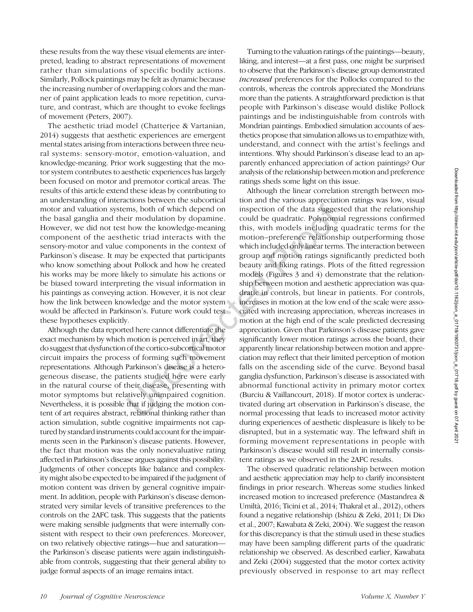these results from the way these visual elements are interpreted, leading to abstract representations of movement rather than simulations of specific bodily actions. Similarly, Pollock paintings may be felt as dynamic because the increasing number of overlapping colors and the manner of paint application leads to more repetition, curvature, and contrast, which are thought to evoke feelings of movement (Peters, 2007).

The aesthetic triad model (Chatterjee & Vartanian, 2014) suggests that aesthetic experiences are emergent mental states arising from interactions between three neural systems: sensory-motor, emotion-valuation, and knowledge-meaning. Prior work suggesting that the motor system contributes to aesthetic experiences has largely been focused on motor and premotor cortical areas. The results of this article extend these ideas by contributing to an understanding of interactions between the subcortical motor and valuation systems, both of which depend on the basal ganglia and their modulation by dopamine. However, we did not test how the knowledge-meaning component of the aesthetic triad interacts with the sensory-motor and value components in the context of Parkinson's disease. It may be expected that participants who know something about Pollock and how he created his works may be more likely to simulate his actions or be biased toward interpreting the visual information in his paintings as conveying action. However, it is not clear how the link between knowledge and the motor system would be affected in Parkinson's. Future work could test these hypotheses explicitly.

Although the data reported here cannot differentiate the exact mechanism by which motion is perceived in art, they do suggest that dysfunction of the cortico-subcortical motor circuit impairs the process of forming such movement representations. Although Parkinson's disease is a heterogeneous disease, the patients studied here were early in the natural course of their disease, presenting with motor symptoms but relatively unimpaired cognition. Nevertheless, it is possible that if judging the motion content of art requires abstract, relational thinking rather than action simulation, subtle cognitive impairments not captured by standard instruments could account for the impairments seen in the Parkinson's disease patients. However, the fact that motion was the only nonevaluative rating affected in Parkinson's disease argues against this possibility. Judgments of other concepts like balance and complexity might also be expected to be impaired if the judgment of motion content was driven by general cognitive impairment. In addition, people with Parkinson's disease demonstrated very similar levels of transitive preferences to the controls on the 2AFC task. This suggests that the patients were making sensible judgments that were internally consistent with respect to their own preferences. Moreover, on two relatively objective ratings—hue and saturation the Parkinson's disease patients were again indistinguishable from controls, suggesting that their general ability to judge formal aspects of an image remains intact.

Turning to the valuation ratings of the paintings—beauty, liking, and interest—at a first pass, one might be surprised to observe that the Parkinson's disease group demonstrated increased preferences for the Pollocks compared to the controls, whereas the controls appreciated the Mondrians more than the patients. A straightforward prediction is that people with Parkinson's disease would dislike Pollock paintings and be indistinguishable from controls with Mondrian paintings. Embodied simulation accounts of aesthetics propose that simulation allows us to empathize with, understand, and connect with the artist's feelings and intentions. Why should Parkinson's disease lead to an apparently enhanced appreciation of action paintings? Our analysis of the relationship between motion and preference ratings sheds some light on this issue.

Although the linear correlation strength between motion and the various appreciation ratings was low, visual inspection of the data suggested that the relationship could be quadratic. Polynomial regressions confirmed this, with models including quadratic terms for the motion–preference relationship outperforming those which included only linear terms. The interaction between group and motion ratings significantly predicted both beauty and liking ratings. Plots of the fitted regression models (Figures 3 and 4) demonstrate that the relationship between motion and aesthetic appreciation was quadratic in controls, but linear in patients. For controls, increases in motion at the low end of the scale were associated with increasing appreciation, whereas increases in motion at the high end of the scale predicted decreasing appreciation. Given that Parkinson's disease patients gave significantly lower motion ratings across the board, their apparently linear relationship between motion and appreciation may reflect that their limited perception of motion falls on the ascending side of the curve. Beyond basal ganglia dysfunction, Parkinson's disease is associated with abnormal functional activity in primary motor cortex (Burciu & Vaillancourt, 2018). If motor cortex is underactivated during art observation in Parkinson's disease, the normal processing that leads to increased motor activity during experiences of aesthetic displeasure is likely to be disrupted, but in a systematic way. The leftward shift in forming movement representations in people with Parkinson's disease would still result in internally consistent ratings as we observed in the 2AFC results.

The observed quadratic relationship between motion and aesthetic appreciation may help to clarify inconsistent findings in prior research. Whereas some studies linked increased motion to increased preference (Mastandrea & Umiltà, 2016; Ticini et al., 2014; Thakral et al., 2012), others found a negative relationship (Ishizu & Zeki, 2011; Di Dio et al., 2007; Kawabata & Zeki, 2004). We suggest the reason for this discrepancy is that the stimuli used in these studies may have been sampling different parts of the quadratic relationship we observed. As described earlier, Kawabata and Zeki (2004) suggested that the motor cortex activity previously observed in response to art may reflect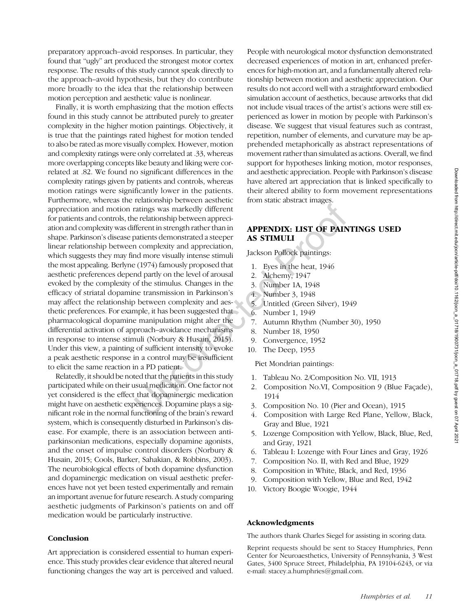Finally, it is worth emphasizing that the motion effects found in this study cannot be attributed purely to greater complexity in the higher motion paintings. Objectively, it is true that the paintings rated highest for motion tended to also be rated as more visually complex. However, motion and complexity ratings were only correlated at .33, whereas more overlapping concepts like beauty and liking were correlated at .82. We found no significant differences in the complexity ratings given by patients and controls, whereas motion ratings were significantly lower in the patients. Furthermore, whereas the relationship between aesthetic appreciation and motion ratings was markedly different for patients and controls, the relationship between appreciation and complexity was different in strength rather than in shape. Parkinson's disease patients demonstrated a steeper linear relationship between complexity and appreciation, which suggests they may find more visually intense stimuli the most appealing. Berlyne (1974) famously proposed that aesthetic preferences depend partly on the level of arousal evoked by the complexity of the stimulus. Changes in the efficacy of striatal dopamine transmission in Parkinson's may affect the relationship between complexity and aesthetic preferences. For example, it has been suggested that pharmacological dopamine manipulation might alter the differential activation of approach–avoidance mechanisms in response to intense stimuli (Norbury & Husain, 2015). Under this view, a painting of sufficient intensity to evoke a peak aesthetic response in a control may be insufficient to elicit the same reaction in a PD patient.

Relatedly, it should be noted that the patients in this study participated while on their usual medication. One factor not yet considered is the effect that dopaminergic medication might have on aesthetic experiences. Dopamine plays a significant role in the normal functioning of the brain's reward system, which is consequently disturbed in Parkinson's disease. For example, there is an association between antiparkinsonian medications, especially dopamine agonists, and the onset of impulse control disorders (Norbury & Husain, 2015; Cools, Barker, Sahakian, & Robbins, 2003). The neurobiological effects of both dopamine dysfunction and dopaminergic medication on visual aesthetic preferences have not yet been tested experimentally and remain an important avenue for future research. A study comparing aesthetic judgments of Parkinson's patients on and off medication would be particularly instructive.

# **Conclusion**

Art appreciation is considered essential to human experience. This study provides clear evidence that altered neural functioning changes the way art is perceived and valued.

People with neurological motor dysfunction demonstrated decreased experiences of motion in art, enhanced preferences for high-motion art, and a fundamentally altered relationship between motion and aesthetic appreciation. Our results do not accord well with a straightforward embodied simulation account of aesthetics, because artworks that did not include visual traces of the artist's actions were still experienced as lower in motion by people with Parkinson's disease. We suggest that visual features such as contrast, repetition, number of elements, and curvature may be apprehended metaphorically as abstract representations of movement rather than simulated as actions. Overall, we find support for hypotheses linking motion, motor responses, and aesthetic appreciation. People with Parkinson's disease have altered art appreciation that is linked specifically to their altered ability to form movement representations from static abstract images.

# APPENDIX: LIST OF PAINTINGS USED AS STIMULI

Jackson Pollock paintings:

- 1. Eyes in the heat, 1946
- 2. Alchemy, 1947
- 3. Number 1A, 1948
- 4. Number 3, 1948
- 5. Untitled (Green Silver), 1949
- 6. Number 1, 1949
- 7. Autumn Rhythm (Number 30), 1950
- 8. Number 18, 1950
- 9. Convergence, 1952
- 10. The Deep, 1953

Piet Mondrian paintings:

- 1. Tableau No. 2/Composition No. VII, 1913
- 2. Composition No.VI, Composition 9 (Blue Façade), 1914
- 3. Composition No. 10 (Pier and Ocean), 1915
- 4. Composition with Large Red Plane, Yellow, Black, Gray and Blue, 1921
- 5. Lozenge Composition with Yellow, Black, Blue, Red, and Gray, 1921
- 6. Tableau I: Lozenge with Four Lines and Gray, 1926
- 7. Composition No. II, with Red and Blue, 1929
- 8. Composition in White, Black, and Red, 1936
- 9. Composition with Yellow, Blue and Red, 1942
- 10. Victory Boogie Woogie, 1944

# Acknowledgments

The authors thank Charles Siegel for assisting in scoring data.

Reprint requests should be sent to Stacey Humphries, Penn Center for Neuroaesthetics, University of Pennsylvania, 3 West Gates, 3400 Spruce Street, Philadelphia, PA 19104-6243, or via e-mail: stacey.a.humphries@gmail.com.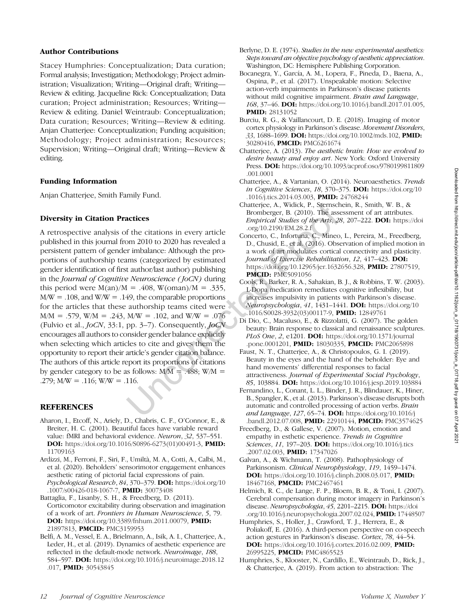# Author Contributions

Stacey Humphries: Conceptualization; Data curation; Formal analysis; Investigation; Methodology; Project administration; Visualization; Writing—Original draft; Writing— Review & editing. Jacqueline Rick: Conceptualization; Data curation; Project administration; Resources; Writing— Review & editing. Daniel Weintraub: Conceptualization; Data curation; Resources; Writing—Review & editing. Anjan Chatterjee: Conceptualization; Funding acquisition; Methodology; Project administration; Resources; Supervision; Writing—Original draft; Writing—Review & editing.

# Funding Information

Anjan Chatterjee, Smith Family Fund.

# Diversity in Citation Practices

A retrospective analysis of the citations in every article published in this journal from 2010 to 2020 has revealed a persistent pattern of gender imbalance: Although the proportions of authorship teams (categorized by estimated gender identification of first author/last author) publishing in the *Journal of Cognitive Neuroscience* (*JoCN*) during this period were  $M(an)/M = .408$ ,  $W(oman)/M = .335$ ,  $M/W = .108$ , and  $W/W = .149$ , the comparable proportions for the articles that these authorship teams cited were  $M/M = .579$ , W/M = .243, M/W = .102, and W/W = .076 (Fulvio et al., JoCN, 33:1, pp. 3–7). Consequently, JoCN encourages all authors to consider gender balance explicitly when selecting which articles to cite and gives them the opportunity to report their article's gender citation balance. The authors of this article report its proportions of citations by gender category to be as follows:  $M/M = .488$ ;  $W/M =$ .279;  $M/W = .116$ ;  $W/W = .116$ .

# **REFERENCES**

- Aharon, I., Etcoff, N., Ariely, D., Chabris, C. F., O'Connor, E., & Breiter, H. C. (2001). Beautiful faces have variable reward value: fMRI and behavioral evidence. Neuron, 32, 537–551. DOI: [https://doi.org/10.1016/S0896-6273\(01\)00491-3](https://doi.org/10.1016/S0896-6273(01)00491-3), PMID: [11709163](https://europepmc.org/article/MED/11709163)
- Ardizzi, M., Ferroni, F., Siri, F., Umiltà, M. A., Cotti, A., Calbi, M., et al. (2020). Beholders' sensorimotor engagement enhances aesthetic rating of pictorial facial expressions of pain. Psychological Research, 84, 370-379. DOI: [https://doi.org/10](https://doi.org/10.1007/s00426-018-1067-7) [.1007/s00426-018-1067-7](https://doi.org/10.1007/s00426-018-1067-7), PMID: [30073408](https://europepmc.org/article/MED/30073408)
- Battaglia, F., Lisanby, S. H., & Freedberg, D. (2011). Corticomotor excitability during observation and imagination of a work of art. Frontiers in Human Neuroscience, 5, 79. DOI: <https://doi.org/10.3389/fnhum.2011.00079>, PMID: [21897813](https://europepmc.org/article/MED/21897813), PMCID: [PMC3159953](https://www.ncbi.nlm.nih.gov/pmc/articles/PMC3159953)
- Belfi, A. M., Vessel, E. A., Brielmann, A., Isik, A. I., Chatterjee, A., Leder, H., et al. (2019). Dynamics of aesthetic experience are reflected in the default-mode network. Neuroimage, 188, 584–597. DOI: [https://doi.org/10.1016/j.neuroimage.2018.12](https://doi.org/10.1016/j.neuroimage.2018.12.017) [.017,](https://doi.org/10.1016/j.neuroimage.2018.12.017) PMID: [30543845](https://europepmc.org/article/MED/30543845)
- Berlyne, D. E. (1974). Studies in the new experimental aesthetics: Steps toward an objective psychology of aesthetic appreciation. Washington, DC: Hemisphere Publishing Corporation.
- Bocanegra, Y., García, A. M., Lopera, F., Pineda, D., Baena, A., Ospina, P., et al. (2017). Unspeakable motion: Selective action-verb impairments in Parkinson's disease patients without mild cognitive impairment. Brain and Language, 168, 37–46. DOI: [https://doi.org/10.1016/j.bandl.2017.01.005,](https://doi.org/10.1016/j.bandl.2017.01.005) PMID: [28131052](https://europepmc.org/article/MED/28131052)
- Burciu, R. G., & Vaillancourt, D. E. (2018). Imaging of motor cortex physiology in Parkinson's disease. Movement Disorders, 33, 1688–1699. DOI: [https://doi.org/10.1002/mds.102,](https://doi.org/10.1002/mds.102) PMID: [30280416](https://europepmc.org/article/MED/30280416), PMCID: [PMC6261674](https://www.ncbi.nlm.nih.gov/pmc/articles/PMC6261674)
- Chatterjee, A. (2013). The aesthetic brain: How we evolved to desire beauty and enjoy art. New York: Oxford University Press. DOI: [https://doi.org/10.1093/acprof:oso/9780199811809](https://doi.org/10.1093/acprof:oso/9780199811809.001.0001) [.001.0001](https://doi.org/10.1093/acprof:oso/9780199811809.001.0001)
- Chatterjee, A., & Vartanian, O. (2014). Neuroaesthetics. Trends in Cognitive Sciences, 18, 370–375. DOI: [https://doi.org/10](https://doi.org/10.1016/j.tics.2014.03.003) [.1016/j.tics.2014.03.003,](https://doi.org/10.1016/j.tics.2014.03.003) **PMID:** [24768244](https://europepmc.org/article/MED/24768244)
- Chatterjee, A., Widick, P., Sternschein, R., Smith, W. B., & Bromberger, B. (2010). The assessment of art attributes. Empirical Studies of the Arts, 28, 207–222. DOI: [https://doi](https://doi.org/10.2190/EM.28.2.f) [.org/10.2190/EM.28.2.f](https://doi.org/10.2190/EM.28.2.f)
- Concerto, C., Infortuna, C., Mineo, L., Pereira, M., Freedberg, D., Chusid, E., et al. (2016). Observation of implied motion in a work of art modulates cortical connectivity and plasticity. Journal of Exercise Rebabilitation, 12, 417-423. DOI: [https://doi.org/10.12965/jer.1632656.328,](https://doi.org/10.12965/jer.1632656.328) PMID: [27807519](https://europepmc.org/article/MED/27807519), **PMCID: [PMC5091056](https://www.ncbi.nlm.nih.gov/pmc/articles/PMC5091056)**
- Cools, R., Barker, R. A., Sahakian, B. J., & Robbins, T. W. (2003). L-Dopa medication remediates cognitive inflexibility, but increases impulsivity in patients with Parkinson's disease. Neuropsychologia, 41, 1431–1441. DOI: [https://doi.org/10](https://doi.org/10.1016/S0028-3932(03)00117-9) [.1016/S0028-3932\(03\)00117-9,](https://doi.org/10.1016/S0028-3932(03)00117-9) **PMID:** [12849761](https://europepmc.org/article/MED/12849761)
- Di Dio, C., Macaluso, E., & Rizzolatti, G. (2007). The golden beauty: Brain response to classical and renaissance sculptures. PLoS One, 2, e1201. DOI: [https://doi.org/10.1371/journal](https://doi.org/10.1371/journal.pone.0001201) [.pone.0001201,](https://doi.org/10.1371/journal.pone.0001201) PMID: [18030335](https://europepmc.org/article/MED/18030335), PMCID: [PMC2065898](https://www.ncbi.nlm.nih.gov/pmc/articles/PMC2065898)
- Faust, N. T., Chatterjee, A., & Christopoulos, G. I. (2019). Beauty in the eyes and the hand of the beholder: Eye and hand movements' differential responses to facial attractiveness. Journal of Experimental Social Psychology, 85, 103884. DOI: <https://doi.org/10.1016/j.jesp.2019.103884>
- Fernandino, L., Conant, L. L., Binder, J. R., Blindauer, K., Hiner, B., Spangler, K., et al. (2013). Parkinson's disease disrupts both automatic and controlled processing of action verbs. Brain and Language, 127, 65–74. DOI: [https://doi.org/10.1016/j](https://doi.org/10.1016/j.bandl.2012.07.008) [.bandl.2012.07.008](https://doi.org/10.1016/j.bandl.2012.07.008), PMID: [22910144](https://europepmc.org/article/MED/22910144), PMCID: [PMC3574625](https://www.ncbi.nlm.nih.gov/pmc/articles/PMC3574625)
- Freedberg, D., & Gallese, V. (2007). Motion, emotion and empathy in esthetic experience. Trends in Cognitive Sciences, 11, 197–203. **DOI:** [https://doi.org/10.1016/j.tics](https://doi.org/10.1016/j.tics.2007.02.003) [.2007.02.003](https://doi.org/10.1016/j.tics.2007.02.003), **PMID**: [17347026](https://europepmc.org/article/MED/17347026)
- Galvan, A., & Wichmann, T. (2008). Pathophysiology of Parkinsonism. Clinical Neurophysiology, 119, 1459–1474. DOI: <https://doi.org/10.1016/j.clinph.2008.03.017>, PMID: [18467168](https://europepmc.org/article/MED/18467168), PMCID: [PMC2467461](https://www.ncbi.nlm.nih.gov/pmc/articles/PMC2467461)
- Helmich, R. C., de Lange, F. P., Bloem, B. R., & Toni, I. (2007). Cerebral compensation during motor imagery in Parkinson's disease. Neuropsychologia, 45, 2201–2215. DOI: [https://doi](https://doi.org/10.1016/j.neuropsychologia.2007.02.024) [.org/10.1016/j.neuropsychologia.2007.02.024](https://doi.org/10.1016/j.neuropsychologia.2007.02.024), PMID: [17448507](https://europepmc.org/article/MED/17448507)
- Humphries, S., Holler, J., Crawford, T. J., Herrera, E., & Poliakoff, E. (2016). A third-person perspective on co-speech action gestures in Parkinson's disease. Cortex, 78, 44–54. DOI: <https://doi.org/10.1016/j.cortex.2016.02.009>, PMID: [26995225](https://europepmc.org/article/MED/26995225), PMCID: [PMC4865523](https://www.ncbi.nlm.nih.gov/pmc/articles/PMC4865523)
- Humphries, S., Klooster, N., Cardillo, E., Weintraub, D., Rick, J., & Chatterjee, A. (2019). From action to abstraction: The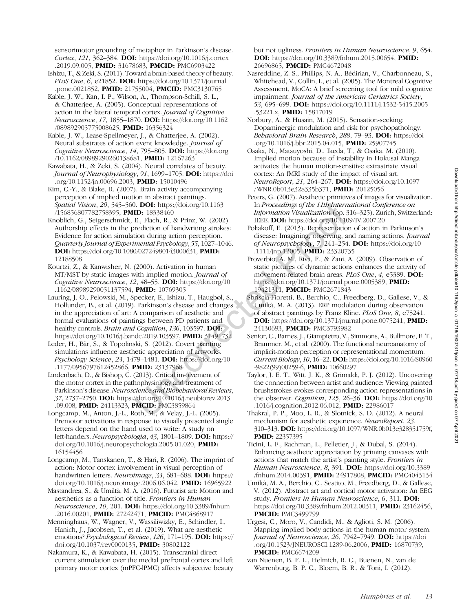sensorimotor grounding of metaphor in Parkinson's disease. Cortex, 121, 362–384. DOI: [https://doi.org/10.1016/j.cortex](https://doi.org/10.1016/j.cortex.2019.09.005) [.2019.09.005](https://doi.org/10.1016/j.cortex.2019.09.005), PMID: [31678683,](https://europepmc.org/article/MED/31678683) PMCID: [PMC6903422](https://www.ncbi.nlm.nih.gov/pmc/articles/PMC6903422)

Ishizu, T., & Zeki, S. (2011). Toward a brain-based theory of beauty. PLoS One, 6, e21852. DOI: [https://doi.org/10.1371/journal](https://doi.org/10.1371/journal.pone.0021852) [.pone.0021852,](https://doi.org/10.1371/journal.pone.0021852) PMID: [21755004](https://europepmc.org/article/MED/21755004), PMCID: [PMC3130765](https://www.ncbi.nlm.nih.gov/pmc/articles/PMC3130765)

Kable, J. W., Kan, I. P., Wilson, A., Thompson-Schill, S. L., & Chatterjee, A. (2005). Conceptual representations of action in the lateral temporal cortex. Journal of Cognitive Neuroscience, 17, 1855–1870. DOI: [https://doi.org/10.1162](https://doi.org/10.1162/089892905775008625) [/089892905775008625](https://doi.org/10.1162/089892905775008625), PMID: [16356324](https://europepmc.org/article/MED/16356324)

Kable, J. W., Lease-Spellmeyer, J., & Chatterjee, A. (2002). Neural substrates of action event knowledge. Journal of Cognitive Neuroscience, 14, 795–805. DOI: [https://doi.org](https://doi.org/10.1162/08989290260138681) [/10.1162/08989290260138681,](https://doi.org/10.1162/08989290260138681) PMID: [12167263](https://europepmc.org/article/MED/12167263)

Kawabata, H., & Zeki, S. (2004). Neural correlates of beauty. Journal of Neurophysiology, 91, 1699-1705. DOI: [https://doi](https://doi.org/10.1152/jn.00696.2003) [.org/10.1152/jn.00696.2003](https://doi.org/10.1152/jn.00696.2003), PMID: [15010496](https://europepmc.org/article/MED/15010496)

Kim, C.-Y., & Blake, R. (2007). Brain activity accompanying perception of implied motion in abstract paintings. Spatial Vision, 20, 545-560. DOI: [https://doi.org/10.1163](https://doi.org/10.1163/156856807782758395) [/156856807782758395](https://doi.org/10.1163/156856807782758395), PMID: [18338460](https://europepmc.org/article/MED/18338460)

Knoblich, G., Seigerschmidt, E., Flach, R., & Prinz, W. (2002). Authorship effects in the prediction of handwriting strokes: Evidence for action simulation during action perception. Quarterly Journal of Experimental Psychology, 55, 1027–1046. DOI: <https://doi.org/10.1080/02724980143000631>, PMID: [12188508](https://europepmc.org/article/MED/12188508)

Kourtzi, Z., & Kanwisher, N. (2000). Activation in human MT/MST by static images with implied motion. Journal of Cognitive Neuroscience, 12, 48–55. DOI: [https://doi.org/10](https://doi.org/10.1162/08989290051137594) [.1162/08989290051137594](https://doi.org/10.1162/08989290051137594), PMID: [10769305](https://europepmc.org/article/MED/10769305)

Lauring, J. O., Pelowski, M., Specker, E., Ishizu, T., Haugbøl, S., Hollunder, B., et al. (2019). Parkinson's disease and changes in the appreciation of art: A comparison of aesthetic and formal evaluations of paintings between PD patients and healthy controls. Brain and Cognition, 136, 103597. DOI: [https://doi.org/10.1016/j.bandc.2019.103597,](https://doi.org/10.1016/j.bandc.2019.103597) PMID: [31491732](https://europepmc.org/article/MED/31491732)

Leder, H., Bär, S., & Topolinski, S. (2012). Covert painting simulations influence aesthetic appreciation of artworks. Psychology Science, 23, 1479–1481. DOI: [https://doi.org/10](https://doi.org/10.1177/0956797612452866) [.1177/0956797612452866,](https://doi.org/10.1177/0956797612452866) PMID: [23137968](https://europepmc.org/article/MED/23137968)

Lindenbach, D., & Bishop, C. (2013). Critical involvement of the motor cortex in the pathophysiology and treatment of Parkinson's disease.Neuroscience and Biobehavioral Reviews, 37, 2737–2750. DOI: [https://doi.org/10.1016/j.neubiorev.2013](https://doi.org/10.1016/j.neubiorev.2013.09.008) [.09.008](https://doi.org/10.1016/j.neubiorev.2013.09.008), PMID: [24113323,](https://europepmc.org/article/MED/24113323) PMCID: [PMC3859864](https://www.ncbi.nlm.nih.gov/pmc/articles/PMC3859864)

Longcamp, M., Anton, J.-L., Roth, M., & Velay, J.-L. (2005). Premotor activations in response to visually presented single letters depend on the hand used to write: A study on left-handers. Neuropsychologia, 43, 1801–1809. DOI: [https://](https://doi.org/10.1016/j.neuropsychologia.2005.01.020) [doi.org/10.1016/j.neuropsychologia.2005.01.020](https://doi.org/10.1016/j.neuropsychologia.2005.01.020), PMID: [16154456](https://europepmc.org/article/MED/16154456)

Longcamp, M., Tanskanen, T., & Hari, R. (2006). The imprint of action: Motor cortex involvement in visual perception of handwritten letters. Neuroimage, 33, 681–688. DOI: [https://](https://doi.org/10.1016/j.neuroimage.2006.06.042) [doi.org/10.1016/j.neuroimage.2006.06.042](https://doi.org/10.1016/j.neuroimage.2006.06.042), PMID: [16965922](https://europepmc.org/article/MED/16965922)

Mastandrea, S., & Umiltà, M. A. (2016). Futurist art: Motion and aesthetics as a function of title. Frontiers in Human Neuroscience, 10, 201. DOI: [https://doi.org/10.3389/fnhum](https://doi.org/10.3389/fnhum.2016.00201) [.2016.00201,](https://doi.org/10.3389/fnhum.2016.00201) PMID: [27242471,](https://europepmc.org/article/MED/27242471) PMCID: [PMC4868917](https://www.ncbi.nlm.nih.gov/pmc/articles/PMC4868917)

Menninghaus, W., Wagner, V., Wassiliwizky, E., Schindler, I., Hanich, J., Jacobsen, T., et al. (2019). What are aesthetic emotions? Psychological Review, 126, 171-195. DOI: [https://](https://doi.org/10.1037/rev0000135) [doi.org/10.1037/rev0000135](https://doi.org/10.1037/rev0000135), PMID: [30802122](https://europepmc.org/article/MED/30802122)

Nakamura, K., & Kawabata, H. (2015). Transcranial direct current stimulation over the medial prefrontal cortex and left primary motor cortex (mPFC-lPMC) affects subjective beauty but not ugliness. Frontiers in Human Neuroscience, 9, 654. DOI: <https://doi.org/10.3389/fnhum.2015.00654>, PMID: [26696865,](https://europepmc.org/article/MED/26696865) PMCID: [PMC4672048](https://www.ncbi.nlm.nih.gov/pmc/articles/PMC4672048)

- Nasreddine, Z. S., Phillips, N. A., Bédirian, V., Charbonneau, S., Whitehead, V., Collin, I., et al. (2005). The Montreal Cognitive Assessment, MoCA: A brief screening tool for mild cognitive impairment. Journal of the American Geriatrics Society, 53, 695–699. **DOI:** [https://doi.org/10.1111/j.1532-5415.2005](https://doi.org/10.1111/j.1532-5415.2005.53221.x) [.53221.x](https://doi.org/10.1111/j.1532-5415.2005.53221.x), PMID: [15817019](https://europepmc.org/article/MED/15817019)
- Norbury, A., & Husain, M. (2015). Sensation-seeking: Dopaminergic modulation and risk for psychopathology. Behavioral Brain Research, 288, 79-93. DOI: [https://doi](https://doi.org/10.1016/j.bbr.2015.04.015) [.org/10.1016/j.bbr.2015.04.015,](https://doi.org/10.1016/j.bbr.2015.04.015) PMID: [25907745](https://europepmc.org/article/MED/25907745)
- Osaka, N., Matsuyoshi, D., Ikeda, T., & Osaka, M. (2010). Implied motion because of instability in Hokusai Manga activates the human motion-sensitive extrastriate visual cortex: An fMRI study of the impact of visual art. NeuroReport, 21, 264–267. DOI: [https://doi.org/10.1097](https://doi.org/10.1097/WNR.0b013e328335b371) [/WNR.0b013e328335b371,](https://doi.org/10.1097/WNR.0b013e328335b371) PMID: [20125056](https://europepmc.org/article/MED/20125056)
- Peters, G. (2007). Aesthetic primitives of images for visualization. In Proceedings of the 11th International Conference on Information Visualization (pp. 316–325). Zurich, Switzerland: IEEE. DOI: <https://doi.org/10.1109/IV.2007.20>
- Poliakoff, E. (2013). Representation of action in Parkinson's disease: Imagining, observing, and naming actions. Journal of Neuropsychology, 7, 241–254. DOI: [https://doi.org/10](https://doi.org/10.1111/jnp.12005) [.1111/jnp.12005,](https://doi.org/10.1111/jnp.12005) PMID: [23320735](https://europepmc.org/article/MED/23320735)

Proverbio, A. M., Riva, F., & Zani, A. (2009). Observation of static pictures of dynamic actions enhances the activity of movement-related brain areas. PLoS One, 4, e5389. DOI: [https://doi.org/10.1371/journal.pone.0005389,](https://doi.org/10.1371/journal.pone.0005389) PMID: [19421311,](https://europepmc.org/article/MED/19421311) PMCID: [PMC2671843](https://www.ncbi.nlm.nih.gov/pmc/articles/PMC2671843)

- Sbriscia-Fioretti, B., Berchio, C., Freedberg, D., Gallese, V., & Umiltà, M. A. (2013). ERP modulation during observation of abstract paintings by Franz Kline. PLoS One, 8, e75241. DOI: <https://doi.org/10.1371/journal.pone.0075241>, PMID: [24130693,](https://europepmc.org/article/MED/24130693) PMCID: [PMC3793982](https://www.ncbi.nlm.nih.gov/pmc/articles/PMC3793982)
- Senior, C., Barnes, J., Giampietro, V., Simmons, A., Bullmore, E. T., Brammer, M., et al. (2000). The functional neuroanatomy of implicit-motion perception or representational momentum. Current Biology, 10, 16–22. DOI: [https://doi.org/10.1016/S0960](https://doi.org/10.1016/S0960-9822(99)00259-6) [-9822\(99\)00259-6](https://doi.org/10.1016/S0960-9822(99)00259-6), PMID: [10660297](https://europepmc.org/article/MED/10660297)
- Taylor, J. E. T., Witt, J. K., & Grimaldi, P. J. (2012). Uncovering the connection between artist and audience: Viewing painted brushstrokes evokes corresponding action representations in the observer. Cognition, 125, 26–36. **DOI:** [https://doi.org/10](https://doi.org/10.1016/j.cognition.2012.06.012) [.1016/j.cognition.2012.06.012](https://doi.org/10.1016/j.cognition.2012.06.012), PMID: [22986017](https://europepmc.org/article/MED/22986017)
- Thakral, P. P., Moo, L. R., & Slotnick, S. D. (2012). A neural mechanism for aesthetic experience. NeuroReport, 23, 310–313. DOI: [https://doi.org/10.1097/WNR.0b013e328351759f,](https://doi.org/10.1097/WNR.0b013e328351759f) PMID: [22357395](https://europepmc.org/article/MED/22357395)
- Ticini, L. F., Rachman, L., Pelletier, J., & Dubal, S. (2014). Enhancing aesthetic appreciation by priming canvases with actions that match the artist's painting style. Frontiers in Human Neuroscience, 8, 391. DOI: [https://doi.org/10.3389](https://doi.org/10.3389/fnhum.2014.00391) [/fnhum.2014.00391](https://doi.org/10.3389/fnhum.2014.00391), PMID: [24917808](https://europepmc.org/article/MED/24917808), PMCID: [PMC4043134](https://www.ncbi.nlm.nih.gov/pmc/articles/PMC4043134)
- Umiltà, M. A., Berchio, C., Sestito, M., Freedberg, D., & Gallese, V. (2012). Abstract art and cortical motor activation: An EEG study. Frontiers in Human Neuroscience, 6, 311. DOI: [https://doi.org/10.3389/fnhum.2012.00311,](https://doi.org/10.3389/fnhum.2012.00311) PMID: [23162456,](https://europepmc.org/article/MED/23162456) **PMCID: [PMC3499799](https://www.ncbi.nlm.nih.gov/pmc/articles/PMC3499799)**
- Urgesi, C., Moro, V., Candidi, M., & Aglioti, S. M. (2006). Mapping implied body actions in the human motor system. Journal of Neuroscience, 26, 7942-7949. DOI: [https://doi](https://doi.org/10.1523/JNEUROSCI.1289-06.2006) [.org/10.1523/ JNEUROSCI.1289-06.2006,](https://doi.org/10.1523/JNEUROSCI.1289-06.2006) PMID: [16870739](https://europepmc.org/article/MED/16870739), **PMCID: [PMC6674209](https://www.ncbi.nlm.nih.gov/pmc/articles/PMC6674209)**
- van Nuenen, B. F. L., Helmich, R. C., Buenen, N., van de Warrenburg, B. P. C., Bloem, B. R., & Toni, I. (2012).